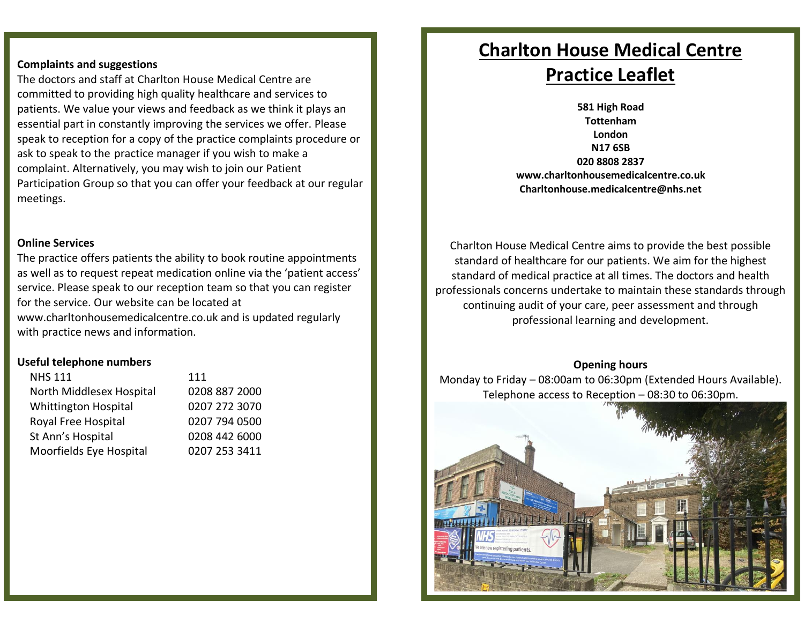### **Complaints and suggestions**

 The doctors and staff at Charlton House Medical Centre are committed to providing high quality healthcare and services to patients. We value your views and feedback as we think it plays an essential part in constantly improving the services we offer. Please speak to reception for a copy of the practice complaints procedure or ask to speak to the practice manager if you wish to make a complaint. Alternatively, you may wish to join our Patient Participation Group so that you can offer your feedback at our regular meetings.

### **Online Services**

 The practice offers patients the ability to book routine appointments as well as to request repeat medication online via the 'patient access' service. Please speak to our reception team so that you can register for the service. Our website can be located at <www.charltonhousemedicalcentre.co.uk>and is updated regularly with practice news and information.

### **Useful telephone numbers**

| <b>NHS 111</b>              | 111           |
|-----------------------------|---------------|
| North Middlesex Hospital    | 0208 887 2000 |
| <b>Whittington Hospital</b> | 0207 272 3070 |
| Royal Free Hospital         | 0207 794 0500 |
| St Ann's Hospital           | 0208 442 6000 |
| Moorfields Eye Hospital     | 0207 253 3411 |

# **Charlton House Medical Centre Practice Leaflet**

 **581 High Road 020 8808 2837 Tottenham London N17 6SB www.charltonhousemedicalcentre.co.uk Charltonhouse.medicalcentre@nhs.net** 

 Charlton House Medical Centre aims to provide the best possible standard of healthcare for our patients. We aim for the highest standard of medical practice at all times. The doctors and health professionals concerns undertake to maintain these standards through continuing audit of your care, peer assessment and through professional learning and development.

### **Opening hours**

 Monday to Friday – 08:00am to 06:30pm (Extended Hours Available). Telephone access to Reception – 08:30 to 06:30pm.